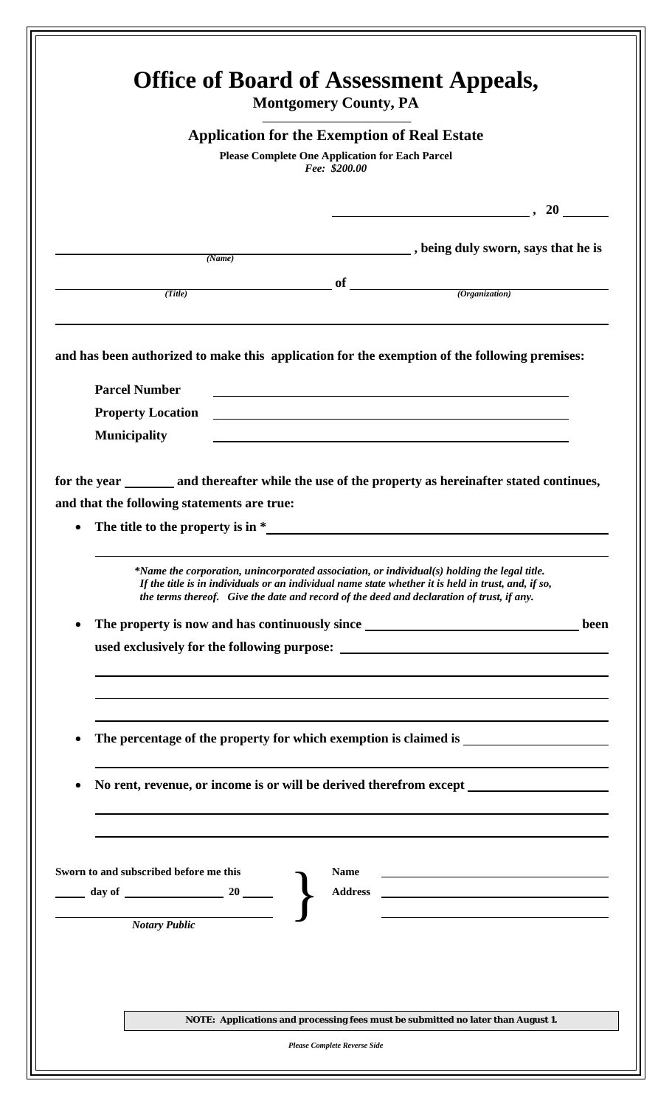| <b>Application for the Exemption of Real Estate</b><br><b>Please Complete One Application for Each Parcel</b><br>Fee: \$200.00 |        |             |                                                                                                                                                                                                  |      |
|--------------------------------------------------------------------------------------------------------------------------------|--------|-------------|--------------------------------------------------------------------------------------------------------------------------------------------------------------------------------------------------|------|
|                                                                                                                                |        |             |                                                                                                                                                                                                  |      |
|                                                                                                                                |        |             | $\frac{1}{2}$ , 20 $\frac{1}{2}$                                                                                                                                                                 |      |
|                                                                                                                                |        |             | being duly sworn, says that he is                                                                                                                                                                |      |
|                                                                                                                                | (Name) |             |                                                                                                                                                                                                  |      |
| (Title)                                                                                                                        |        |             | $\int$ of $\int$ (Organization)                                                                                                                                                                  |      |
|                                                                                                                                |        |             |                                                                                                                                                                                                  |      |
|                                                                                                                                |        |             |                                                                                                                                                                                                  |      |
|                                                                                                                                |        |             | and has been authorized to make this application for the exemption of the following premises:                                                                                                    |      |
| <b>Parcel Number</b>                                                                                                           |        |             |                                                                                                                                                                                                  |      |
| <b>Property Location</b>                                                                                                       |        |             | <u> 1980 - Jan Samuel Barbara, martin da shekara tsara 1980 - Andrea Samuel Barbara, mashrida a shekara tsara 19</u>                                                                             |      |
| <b>Municipality</b>                                                                                                            |        |             |                                                                                                                                                                                                  |      |
|                                                                                                                                |        |             |                                                                                                                                                                                                  |      |
|                                                                                                                                |        |             | for the year ________ and thereafter while the use of the property as hereinafter stated continues,                                                                                              |      |
| and that the following statements are true:                                                                                    |        |             |                                                                                                                                                                                                  |      |
| The title to the property is in $*$                                                                                            |        |             |                                                                                                                                                                                                  |      |
|                                                                                                                                |        |             | *Name the corporation, unincorporated association, or individual(s) holding the legal title.                                                                                                     |      |
|                                                                                                                                |        |             | If the title is in individuals or an individual name state whether it is held in trust, and, if so,<br>the terms thereof. Give the date and record of the deed and declaration of trust, if any. |      |
|                                                                                                                                |        |             | The property is now and has continuously since __________________________________                                                                                                                | been |
|                                                                                                                                |        |             |                                                                                                                                                                                                  |      |
|                                                                                                                                |        |             |                                                                                                                                                                                                  |      |
|                                                                                                                                |        |             |                                                                                                                                                                                                  |      |
|                                                                                                                                |        |             |                                                                                                                                                                                                  |      |
|                                                                                                                                |        |             | The percentage of the property for which exemption is claimed is ________________                                                                                                                |      |
|                                                                                                                                |        |             |                                                                                                                                                                                                  |      |
|                                                                                                                                |        |             | No rent, revenue, or income is or will be derived therefrom except ______________                                                                                                                |      |
|                                                                                                                                |        |             |                                                                                                                                                                                                  |      |
|                                                                                                                                |        |             |                                                                                                                                                                                                  |      |
|                                                                                                                                |        |             |                                                                                                                                                                                                  |      |
| Sworn to and subscribed before me this                                                                                         |        | <b>Name</b> |                                                                                                                                                                                                  |      |
| day of 20 $\sim$                                                                                                               |        |             | <u> 1980 - Johann Barbara, martxa alemaniar a</u>                                                                                                                                                |      |
| <b>Notary Public</b>                                                                                                           |        |             |                                                                                                                                                                                                  |      |
|                                                                                                                                |        |             |                                                                                                                                                                                                  |      |
|                                                                                                                                |        |             |                                                                                                                                                                                                  |      |